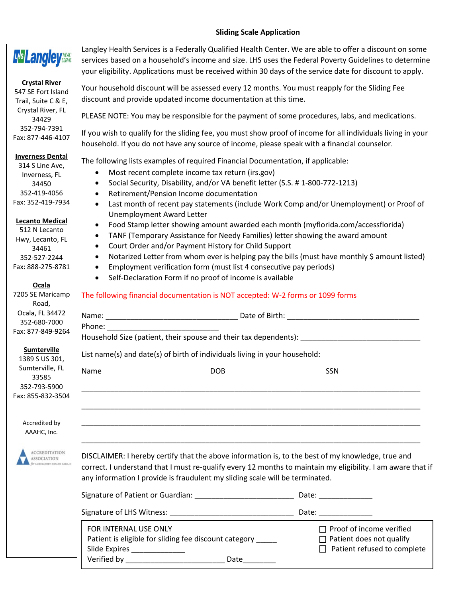## **Sliding Scale Application**

| LHS Langley HEALD                                                                                                                                                                                                                                   | Langley Health Services is a Federally Qualified Health Center. We are able to offer a discount on some<br>services based on a household's income and size. LHS uses the Federal Poverty Guidelines to determine<br>your eligibility. Applications must be received within 30 days of the service date for discount to apply.                                                                                                                                                                                                                                                                                                                                                                                                                                                                                                                                                                                                                                                                                                                                 |  |  |  |  |
|-----------------------------------------------------------------------------------------------------------------------------------------------------------------------------------------------------------------------------------------------------|---------------------------------------------------------------------------------------------------------------------------------------------------------------------------------------------------------------------------------------------------------------------------------------------------------------------------------------------------------------------------------------------------------------------------------------------------------------------------------------------------------------------------------------------------------------------------------------------------------------------------------------------------------------------------------------------------------------------------------------------------------------------------------------------------------------------------------------------------------------------------------------------------------------------------------------------------------------------------------------------------------------------------------------------------------------|--|--|--|--|
| <b>Crystal River</b><br>547 SE Fort Island<br>Trail, Suite C & E,                                                                                                                                                                                   | Your household discount will be assessed every 12 months. You must reapply for the Sliding Fee<br>discount and provide updated income documentation at this time.                                                                                                                                                                                                                                                                                                                                                                                                                                                                                                                                                                                                                                                                                                                                                                                                                                                                                             |  |  |  |  |
| Crystal River, FL<br>34429                                                                                                                                                                                                                          | PLEASE NOTE: You may be responsible for the payment of some procedures, labs, and medications.                                                                                                                                                                                                                                                                                                                                                                                                                                                                                                                                                                                                                                                                                                                                                                                                                                                                                                                                                                |  |  |  |  |
| 352-794-7391<br>Fax: 877-446-4107                                                                                                                                                                                                                   | If you wish to qualify for the sliding fee, you must show proof of income for all individuals living in your<br>household. If you do not have any source of income, please speak with a financial counselor.                                                                                                                                                                                                                                                                                                                                                                                                                                                                                                                                                                                                                                                                                                                                                                                                                                                  |  |  |  |  |
| <b>Inverness Dental</b><br>314 S Line Ave,<br>Inverness, FL<br>34450<br>352-419-4056<br>Fax: 352-419-7934<br><b>Lecanto Medical</b><br>512 N Lecanto<br>Hwy, Lecanto, FL<br>34461<br>352-527-2244<br>Fax: 888-275-8781<br>Ocala<br>7205 SE Maricamp | The following lists examples of required Financial Documentation, if applicable:<br>Most recent complete income tax return (irs.gov)<br>٠<br>Social Security, Disability, and/or VA benefit letter (S.S. #1-800-772-1213)<br>$\bullet$<br>Retirement/Pension Income documentation<br>$\bullet$<br>Last month of recent pay statements (include Work Comp and/or Unemployment) or Proof of<br>$\bullet$<br>Unemployment Award Letter<br>Food Stamp letter showing amount awarded each month (myflorida.com/accessflorida)<br>٠<br>TANF (Temporary Assistance for Needy Families) letter showing the award amount<br>$\bullet$<br>Court Order and/or Payment History for Child Support<br>$\bullet$<br>Notarized Letter from whom ever is helping pay the bills (must have monthly \$ amount listed)<br>$\bullet$<br>Employment verification form (must list 4 consecutive pay periods)<br>$\bullet$<br>Self-Declaration Form if no proof of income is available<br>$\bullet$<br>The following financial documentation is NOT accepted: W-2 forms or 1099 forms |  |  |  |  |
| Road,<br>Ocala, FL 34472<br>352-680-7000<br>Fax: 877-849-9264                                                                                                                                                                                       | Phone: The contract of the contract of the contract of the contract of the contract of the contract of the contract of the contract of the contract of the contract of the contract of the contract of the contract of the con<br>Household Size (patient, their spouse and their tax dependents): _________                                                                                                                                                                                                                                                                                                                                                                                                                                                                                                                                                                                                                                                                                                                                                  |  |  |  |  |
| <b>Sumterville</b>                                                                                                                                                                                                                                  | List name(s) and date(s) of birth of individuals living in your household:                                                                                                                                                                                                                                                                                                                                                                                                                                                                                                                                                                                                                                                                                                                                                                                                                                                                                                                                                                                    |  |  |  |  |
| 1389 S US 301,<br>Sumterville, FL<br>33585<br>352-793-5900<br>Fax: 855-832-3504                                                                                                                                                                     | Name<br><b>DOB</b><br>SSN                                                                                                                                                                                                                                                                                                                                                                                                                                                                                                                                                                                                                                                                                                                                                                                                                                                                                                                                                                                                                                     |  |  |  |  |
| Accredited by<br>AAAHC, Inc.                                                                                                                                                                                                                        |                                                                                                                                                                                                                                                                                                                                                                                                                                                                                                                                                                                                                                                                                                                                                                                                                                                                                                                                                                                                                                                               |  |  |  |  |
| <b>ACCREDITATION</b><br>ASSOCIATION<br>MEULATORY HEALTH CARE, D                                                                                                                                                                                     | DISCLAIMER: I hereby certify that the above information is, to the best of my knowledge, true and<br>correct. I understand that I must re-qualify every 12 months to maintain my eligibility. I am aware that if<br>any information I provide is fraudulent my sliding scale will be terminated.                                                                                                                                                                                                                                                                                                                                                                                                                                                                                                                                                                                                                                                                                                                                                              |  |  |  |  |
|                                                                                                                                                                                                                                                     | Date: ______________                                                                                                                                                                                                                                                                                                                                                                                                                                                                                                                                                                                                                                                                                                                                                                                                                                                                                                                                                                                                                                          |  |  |  |  |
|                                                                                                                                                                                                                                                     | Date: ______________                                                                                                                                                                                                                                                                                                                                                                                                                                                                                                                                                                                                                                                                                                                                                                                                                                                                                                                                                                                                                                          |  |  |  |  |
|                                                                                                                                                                                                                                                     | FOR INTERNAL USE ONLY<br>$\Box$ Proof of income verified<br>Patient is eligible for sliding fee discount category _____<br>$\Box$ Patient does not qualify<br>Patient refused to complete<br>Slide Expires _______________<br>Date_______                                                                                                                                                                                                                                                                                                                                                                                                                                                                                                                                                                                                                                                                                                                                                                                                                     |  |  |  |  |